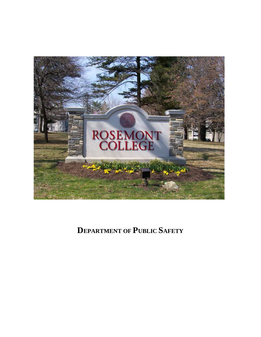

**DEPARTMENT OF PUBLIC SAFETY**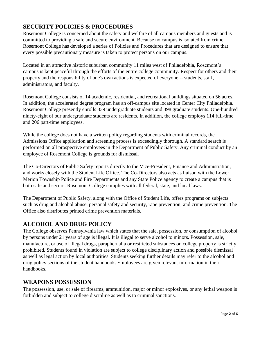# **SECURITY POLICIES & PROCEDURES**

Rosemont College is concerned about the safety and welfare of all campus members and guests and is committed to providing a safe and secure environment. Because no campus is isolated from crime, Rosemont College has developed a series of Policies and Procedures that are designed to ensure that every possible precautionary measure is taken to protect persons on our campus.

Located in an attractive historic suburban community 11 miles west of Philadelphia, Rosemont's campus is kept peaceful through the efforts of the entire college community. Respect for others and their property and the responsibility of one's own actions is expected of everyone -- students, staff, administrators, and faculty.

Rosemont College consists of 14 academic, residential, and recreational buildings situated on 56 acres. In addition, the accelerated degree program has an off-campus site located in Center City Philadelphia. Rosemont College presently enrolls 339 undergraduate students and 398 graduate students. One-hundred ninety-eight of our undergraduate students are residents. In addition, the college employs 114 full-time and 206 part-time employees.

While the college does not have a written policy regarding students with criminal records, the Admissions Office application and screening process is exceedingly thorough. A standard search is performed on all prospective employees in the Department of Public Safety. Any criminal conduct by an employee of Rosemont College is grounds for dismissal.

The Co-Directors of Public Safety reports directly to the Vice-President, Finance and Administration, and works closely with the Student Life Office. The Co-Directors also acts as liaison with the Lower Merion Township Police and Fire Departments and any State Police agency to create a campus that is both safe and secure. Rosemont College complies with all federal, state, and local laws.

The Department of Public Safety, along with the Office of Student Life, offers programs on subjects such as drug and alcohol abuse, personal safety and security, rape prevention, and crime prevention. The Office also distributes printed crime prevention materials.

## **ALCOHOL AND DRUG POLICY**

The College observes Pennsylvania law which states that the sale, possession, or consumption of alcohol by persons under 21 years of age is illegal. It is illegal to serve alcohol to minors. Possession, sale, manufacture, or use of illegal drugs, paraphernalia or restricted substances on college property is strictly prohibited. Students found in violation are subject to college disciplinary action and possible dismissal as well as legal action by local authorities. Students seeking further details may refer to the alcohol and drug policy sections of the student handbook. Employees are given relevant information in their handbooks.

## **WEAPONS POSSESSION**

The possession, use, or sale of firearms, ammunition, major or minor explosives, or any lethal weapon is forbidden and subject to college discipline as well as to criminal sanctions.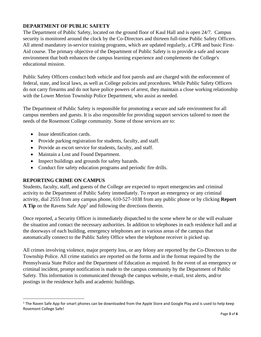## **DEPARTMENT OF PUBLIC SAFETY**

The Department of Public Safety, located on the ground floor of Kaul Hall and is open 24/7. Campus security is monitored around the clock by the Co-Directors and thirteen full-time Public Safety Officers. All attend mandatory in-service training programs, which are updated regularly, a CPR and basic First-Aid course. The primary objective of the Department of Public Safety is to provide a safe and secure environment that both enhances the campus learning experience and complements the College's educational mission.

Public Safety Officers conduct both vehicle and foot patrols and are charged with the enforcement of federal, state, and local laws, as well as College policies and procedures. While Public Safety Officers do not carry firearms and do not have police powers of arrest, they maintain a close working relationship with the Lower Merion Township Police Department, who assist as needed.

The Department of Public Safety is responsible for promoting a secure and safe environment for all campus members and guests. It is also responsible for providing support services tailored to meet the needs of the Rosemont College community. Some of those services are to:

- Issue identification cards.
- Provide parking registration for students, faculty, and staff.
- Provide an escort service for students, faculty, and staff.
- Maintain a Lost and Found Department.
- Inspect buildings and grounds for safety hazards.
- Conduct fire safety education programs and periodic fire drills.

#### **REPORTING CRIME ON CAMPUS**

Students, faculty, staff, and guests of the College are expected to report emergencies and criminal activity to the Department of Public Safety immediately. To report an emergency or any criminal activity, dial 2555 from any campus phone, 610-527-1038 from any public phone or by clicking **Report A Tip** on the Ravens Safe  $App<sup>1</sup>$  and following the directions therein.

Once reported, a Security Officer is immediately dispatched to the scene where he or she will evaluate the situation and contact the necessary authorities. In addition to telephones in each residence hall and at the doorways of each building, emergency telephones are in various areas of the campus that automatically connect to the Public Safety Office when the telephone receiver is picked up.

All crimes involving violence, major property loss, or any felony are reported by the Co-Directors to the Township Police. All crime statistics are reported on the forms and in the format required by the Pennsylvania State Police and the Department of Education as required. In the event of an emergency or criminal incident, prompt notification is made to the campus community by the Department of Public Safety. This information is communicated through the campus website, e-mail, text alerts, and/or postings in the residence halls and academic buildings.

<sup>&</sup>lt;sup>1</sup> The Raven Safe App for smart phones can be downloaded from the Apple Store and Google Play and is used to help keep Rosemont College Safe!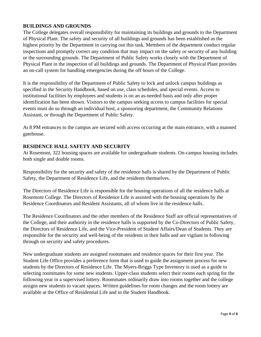#### **BUILDINGS AND GROUNDS**

The College delegates overall responsibility for maintaining its buildings and grounds to the Department of Physical Plant. The safety and security of all buildings and grounds has been established as the highest priority by the Department in carrying out this task. Members of the department conduct regular inspections and promptly correct any condition that may impact on the safety or security of any building or the surrounding grounds. The Department of Public Safety works closely with the Department of Physical Plant in the inspection of all buildings and grounds. The Department of Physical Plant provides an on-call system for handling emergencies during the off hours of the College.

It is the responsibility of the Department of Public Safety to lock and unlock campus buildings as specified in the Security Handbook, based on use, class schedules, and special events. Access to institutional facilities by employees and students is on an as-needed basis and only after proper identification has been shown. Visitors to the campus seeking access to campus facilities for special events must do so through an individual host, a sponsoring department, the Community Relations Assistant, or through the Department of Public Safety.

At 8 PM entrances to the campus are secured with access occurring at the main entrance, with a manned gatehouse.

#### **RESIDENCE HALL SAFETY AND SECURITY**

At Rosemont, 322 housing spaces are available for undergraduate students. On-campus housing includes both single and double rooms.

Responsibility for the security and safety of the residence halls is shared by the Department of Public Safety, the Department of Residence Life, and the residents themselves.

The Directors of Residence Life is responsible for the housing operations of all the residence halls at Rosemont College. The Directors of Residence Life is assisted with the housing operations by the Residence Coordinators and Resident Assistants, all of whom live in the residence halls.

The Residence Coordinators and the other members of the Residence Staff are official representatives of the College, and their authority in the residence halls is supported by the Co-Directors of Public Safety, the Directors of Residence Life, and the Vice-President of Student Affairs/Dean of Students. They are responsible for the security and well-being of the residents in their halls and are vigilant in following through on security and safety procedures.

New undergraduate students are assigned roommates and residence spaces for their first year. The Student Life Office provides a preference form that is used to guide the assignment process for new students by the Directors of Residence Life. The Myers-Briggs Type Inventory is used as a guide to selecting roommates for some new students. Upper-class students select their rooms each spring for the following year in a supervised lottery. Roommates ordinarily draw into rooms together and the college assigns new students to vacant spaces. Written guidelines for room changes and the room lottery are available at the Office of Residential Life and in the Student Handbook.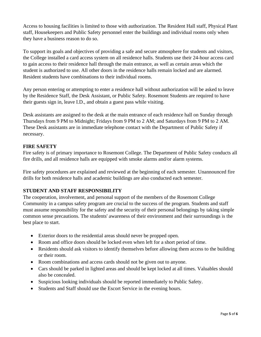Access to housing facilities is limited to those with authorization. The Resident Hall staff, Physical Plant staff, Housekeepers and Public Safety personnel enter the buildings and individual rooms only when they have a business reason to do so.

To support its goals and objectives of providing a safe and secure atmosphere for students and visitors, the College installed a card access system on all residence halls. Students use their 24-hour access card to gain access to their residence hall through the main entrance, as well as certain areas which the student is authorized to use. All other doors in the residence halls remain locked and are alarmed. Resident students have combinations to their individual rooms.

Any person entering or attempting to enter a residence hall without authorization will be asked to leave by the Residence Staff, the Desk Assistant, or Public Safety. Rosemont Students are required to have their guests sign in, leave I.D., and obtain a guest pass while visiting.

Desk assistants are assigned to the desk at the main entrance of each residence hall on Sunday through Thursdays from 9 PM to Midnight; Fridays from 9 PM to 2 AM; and Saturdays from 9 PM to 2 AM. These Desk assistants are in immediate telephone contact with the Department of Public Safety if necessary.

#### **FIRE SAFETY**

Fire safety is of primary importance to Rosemont College. The Department of Public Safety conducts all fire drills, and all residence halls are equipped with smoke alarms and/or alarm systems.

Fire safety procedures are explained and reviewed at the beginning of each semester. Unannounced fire drills for both residence halls and academic buildings are also conducted each semester.

## **STUDENT AND STAFF RESPONSIBILITY**

The cooperation, involvement, and personal support of the members of the Rosemont College Community in a campus safety program are crucial to the success of the program. Students and staff must assume responsibility for the safety and the security of their personal belongings by taking simple common sense precautions. The students' awareness of their environment and their surroundings is the best place to start.

- Exterior doors to the residential areas should never be propped open.
- Room and office doors should be locked even when left for a short period of time.
- Residents should ask visitors to identify themselves before allowing them access to the building or their room.
- Room combinations and access cards should not be given out to anyone.
- Cars should be parked in lighted areas and should be kept locked at all times. Valuables should also be concealed.
- Suspicious looking individuals should be reported immediately to Public Safety.
- Students and Staff should use the Escort Service in the evening hours.